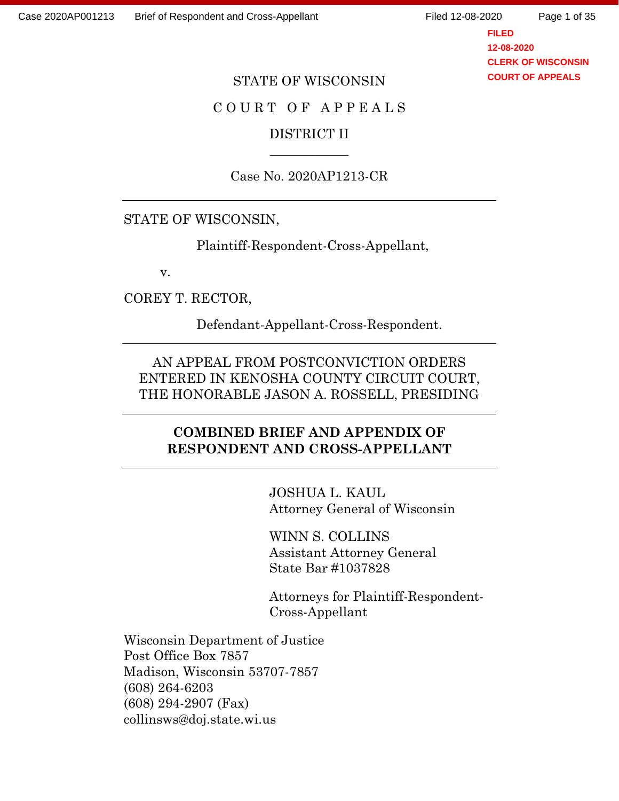Page 1 of 35

**FILED 12-08-2020 CLERK OF WISCONSIN COURT OF APPEALS**

#### STATE OF WISCONSIN

### C O U R T O F A P P E A L S

## DISTRICT II  $\overline{\phantom{a}}$

#### Case No. 2020AP1213-CR

## STATE OF WISCONSIN,

Plaintiff-Respondent-Cross-Appellant,

v.

COREY T. RECTOR,

Defendant-Appellant-Cross-Respondent.

AN APPEAL FROM POSTCONVICTION ORDERS ENTERED IN KENOSHA COUNTY CIRCUIT COURT, THE HONORABLE JASON A. ROSSELL, PRESIDING

## **COMBINED BRIEF AND APPENDIX OF RESPONDENT AND CROSS-APPELLANT**

JOSHUA L. KAUL Attorney General of Wisconsin

WINN S. COLLINS Assistant Attorney General State Bar #1037828

Attorneys for Plaintiff-Respondent-Cross-Appellant

Wisconsin Department of Justice Post Office Box 7857 Madison, Wisconsin 53707-7857 (608) 264-6203 (608) 294-2907 (Fax) collinsws@doj.state.wi.us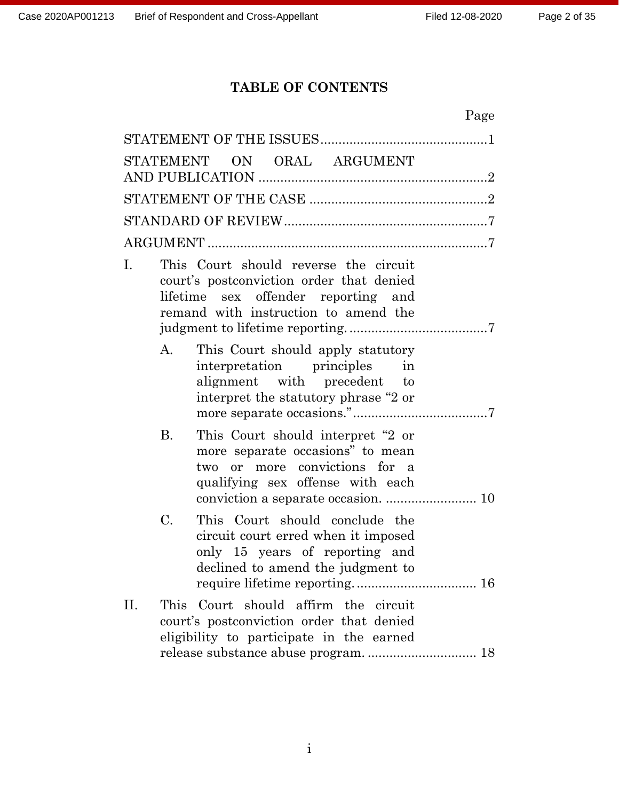## **TABLE OF CONTENTS**

| Page                                                                                                                                                                   |
|------------------------------------------------------------------------------------------------------------------------------------------------------------------------|
|                                                                                                                                                                        |
| STATEMENT ON ORAL ARGUMENT                                                                                                                                             |
|                                                                                                                                                                        |
|                                                                                                                                                                        |
|                                                                                                                                                                        |
| This Court should reverse the circuit<br>I.<br>court's postconviction order that denied<br>lifetime sex offender reporting and<br>remand with instruction to amend the |
| A.<br>This Court should apply statutory<br>interpretation principles in<br>alignment with precedent to<br>interpret the statutory phrase "2 or                         |
| <b>B.</b><br>This Court should interpret "2 or<br>more separate occasions" to mean<br>two or more convictions for a<br>qualifying sex offense with each                |
| C.<br>This Court should conclude the<br>circuit court erred when it imposed<br>only 15 years of reporting and<br>declined to amend the judgment to                     |
| Court should affirm the circuit<br>П.<br>This<br>court's postconviction order that denied<br>eligibility to participate in the earned                                  |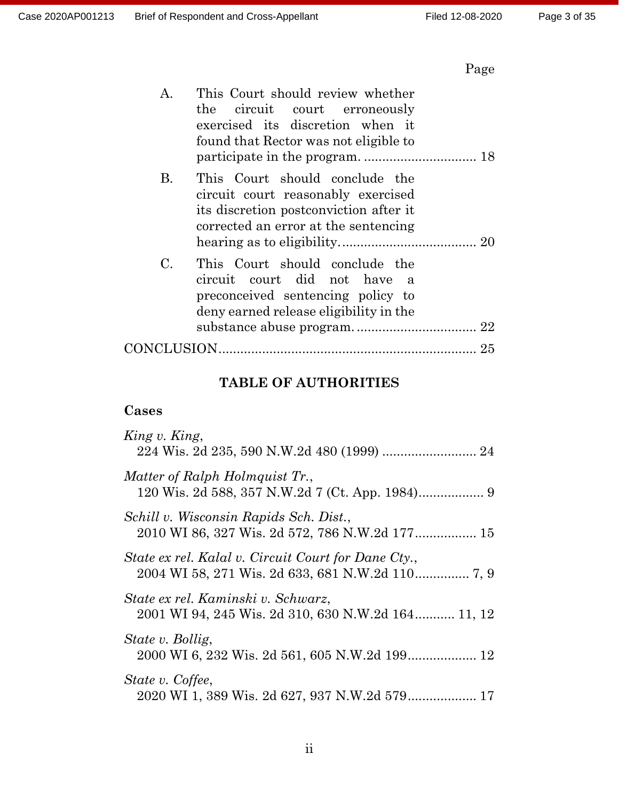# Page

| Α.          | This Court should review whether<br>the circuit court erroneously<br>exercised its discretion when it<br>found that Rector was not eligible to              |  |
|-------------|-------------------------------------------------------------------------------------------------------------------------------------------------------------|--|
| B.          | This Court should conclude the<br>circuit court reasonably exercised<br>its discretion postconviction after it<br>corrected an error at the sentencing      |  |
| $C_{\cdot}$ | This Court should conclude the<br>circuit court did not have<br><sub>a</sub><br>preconceived sentencing policy to<br>deny earned release eligibility in the |  |
|             |                                                                                                                                                             |  |

## **TABLE OF AUTHORITIES**

## **Cases**

| King v. King,                                                                            |
|------------------------------------------------------------------------------------------|
| Matter of Ralph Holmquist Tr.,                                                           |
| Schill v. Wisconsin Rapids Sch. Dist.,                                                   |
| State ex rel. Kalal v. Circuit Court for Dane Cty.,                                      |
| State ex rel. Kaminski v. Schwarz,<br>2001 WI 94, 245 Wis. 2d 310, 630 N.W.2d 164 11, 12 |
| State v. Bollig,                                                                         |
| State v. Coffee,<br>2020 WI 1, 389 Wis. 2d 627, 937 N.W.2d 579 17                        |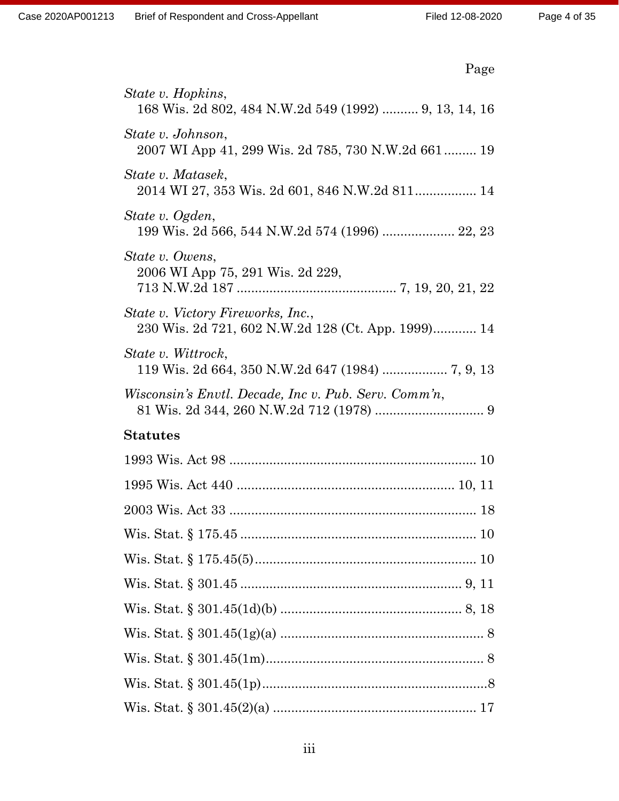| Page                                                                                    |
|-----------------------------------------------------------------------------------------|
| State v. Hopkins,<br>168 Wis. 2d 802, 484 N.W.2d 549 (1992)  9, 13, 14, 16              |
| State v. Johnson,<br>2007 WI App 41, 299 Wis. 2d 785, 730 N.W.2d 661  19                |
| State v. Matasek,<br>2014 WI 27, 353 Wis. 2d 601, 846 N.W.2d 811 14                     |
| State v. Ogden,<br>199 Wis. 2d 566, 544 N.W.2d 574 (1996)  22, 23                       |
| State v. Owens,<br>2006 WI App 75, 291 Wis. 2d 229,                                     |
| State v. Victory Fireworks, Inc.,<br>230 Wis. 2d 721, 602 N.W.2d 128 (Ct. App. 1999) 14 |
| State v. Wittrock,<br>119 Wis. 2d 664, 350 N.W.2d 647 (1984)  7, 9, 13                  |
| Wisconsin's Envtl. Decade, Inc v. Pub. Serv. Comm'n,                                    |
| <b>Statutes</b>                                                                         |
|                                                                                         |
|                                                                                         |
| 2003 Wis. Act 33<br>18                                                                  |
|                                                                                         |
|                                                                                         |
|                                                                                         |
|                                                                                         |
|                                                                                         |
|                                                                                         |
|                                                                                         |
|                                                                                         |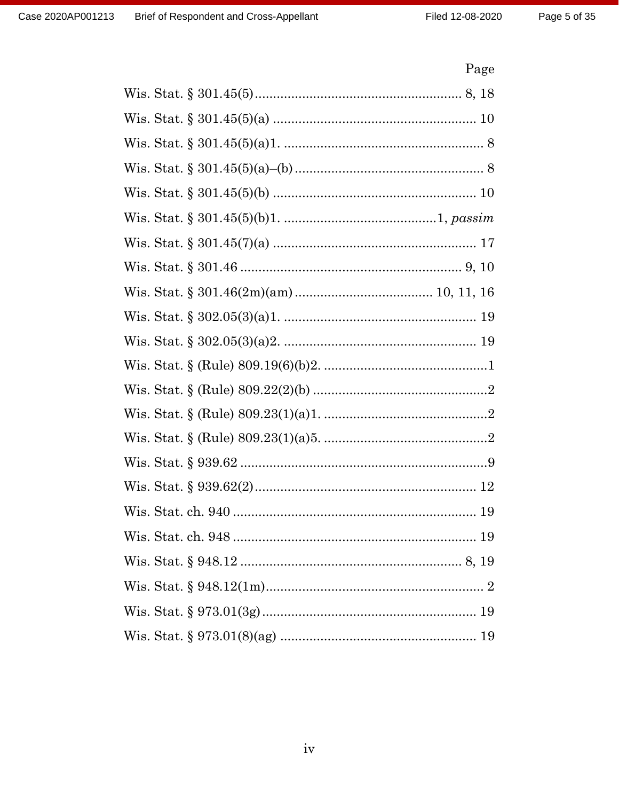# Page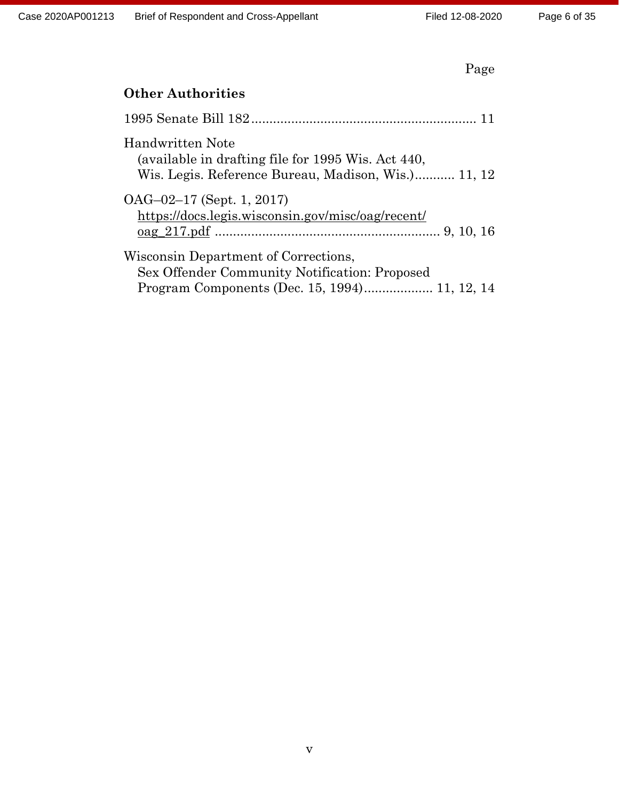|--|

| <b>Other Authorities</b>                                                                                                               |
|----------------------------------------------------------------------------------------------------------------------------------------|
|                                                                                                                                        |
| Handwritten Note<br>(available in drafting file for 1995 Wis. Act 440,<br>Wis. Legis. Reference Bureau, Madison, Wis.) 11, 12          |
| $OAG-02-17$ (Sept. 1, 2017)<br>https://docs.legis.wisconsin.gov/misc/oag/recent/                                                       |
| Wisconsin Department of Corrections,<br>Sex Offender Community Notification: Proposed<br>Program Components (Dec. 15, 1994) 11, 12, 14 |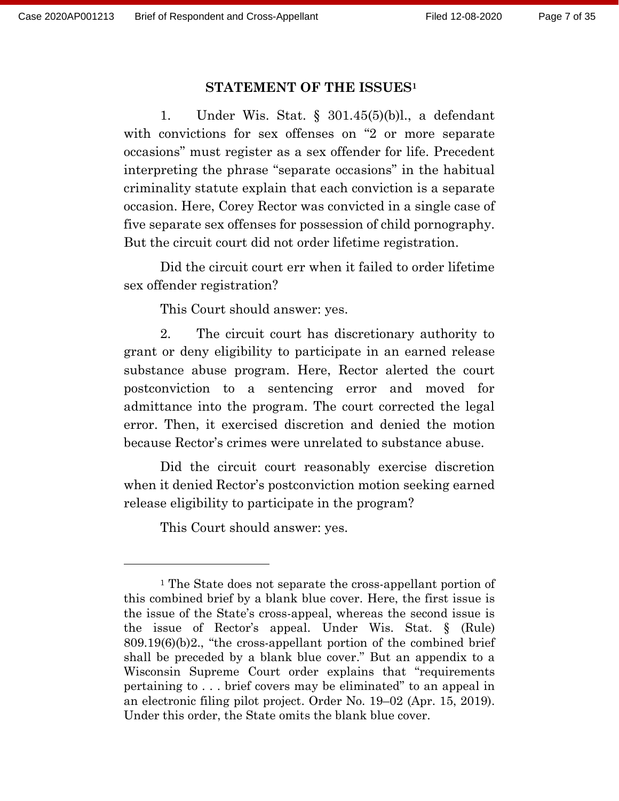#### **STATEMENT OF THE ISSUES<sup>1</sup>**

1. Under Wis. Stat. § 301.45(5)(b)l., a defendant with convictions for sex offenses on "2 or more separate occasions" must register as a sex offender for life. Precedent interpreting the phrase "separate occasions" in the habitual criminality statute explain that each conviction is a separate occasion. Here, Corey Rector was convicted in a single case of five separate sex offenses for possession of child pornography. But the circuit court did not order lifetime registration.

Did the circuit court err when it failed to order lifetime sex offender registration?

This Court should answer: yes.

2. The circuit court has discretionary authority to grant or deny eligibility to participate in an earned release substance abuse program. Here, Rector alerted the court postconviction to a sentencing error and moved for admittance into the program. The court corrected the legal error. Then, it exercised discretion and denied the motion because Rector's crimes were unrelated to substance abuse.

Did the circuit court reasonably exercise discretion when it denied Rector's postconviction motion seeking earned release eligibility to participate in the program?

This Court should answer: yes.

<sup>1</sup> The State does not separate the cross-appellant portion of this combined brief by a blank blue cover. Here, the first issue is the issue of the State's cross-appeal, whereas the second issue is the issue of Rector's appeal. Under Wis. Stat. § (Rule) 809.19(6)(b)2., "the cross-appellant portion of the combined brief shall be preceded by a blank blue cover." But an appendix to a Wisconsin Supreme Court order explains that "requirements pertaining to . . . brief covers may be eliminated" to an appeal in an electronic filing pilot project. Order No. 19–02 (Apr. 15, 2019). Under this order, the State omits the blank blue cover.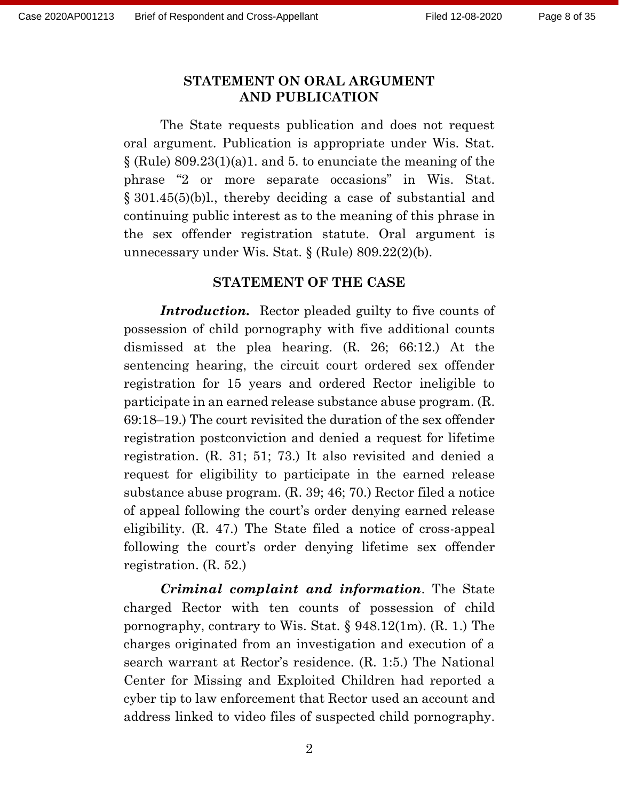#### **STATEMENT ON ORAL ARGUMENT AND PUBLICATION**

The State requests publication and does not request oral argument. Publication is appropriate under Wis. Stat.  $\S$  (Rule) 809.23(1)(a)1. and 5. to enunciate the meaning of the phrase "2 or more separate occasions" in Wis. Stat. § 301.45(5)(b)l., thereby deciding a case of substantial and continuing public interest as to the meaning of this phrase in the sex offender registration statute. Oral argument is unnecessary under Wis. Stat. § (Rule) 809.22(2)(b).

#### **STATEMENT OF THE CASE**

*Introduction.* Rector pleaded guilty to five counts of possession of child pornography with five additional counts dismissed at the plea hearing. (R. 26; 66:12.) At the sentencing hearing, the circuit court ordered sex offender registration for 15 years and ordered Rector ineligible to participate in an earned release substance abuse program. (R. 69:18–19.) The court revisited the duration of the sex offender registration postconviction and denied a request for lifetime registration. (R. 31; 51; 73.) It also revisited and denied a request for eligibility to participate in the earned release substance abuse program. (R. 39; 46; 70.) Rector filed a notice of appeal following the court's order denying earned release eligibility. (R. 47.) The State filed a notice of cross-appeal following the court's order denying lifetime sex offender registration. (R. 52.)

*Criminal complaint and information*. The State charged Rector with ten counts of possession of child pornography, contrary to Wis. Stat. § 948.12(1m). (R. 1.) The charges originated from an investigation and execution of a search warrant at Rector's residence. (R. 1:5.) The National Center for Missing and Exploited Children had reported a cyber tip to law enforcement that Rector used an account and address linked to video files of suspected child pornography.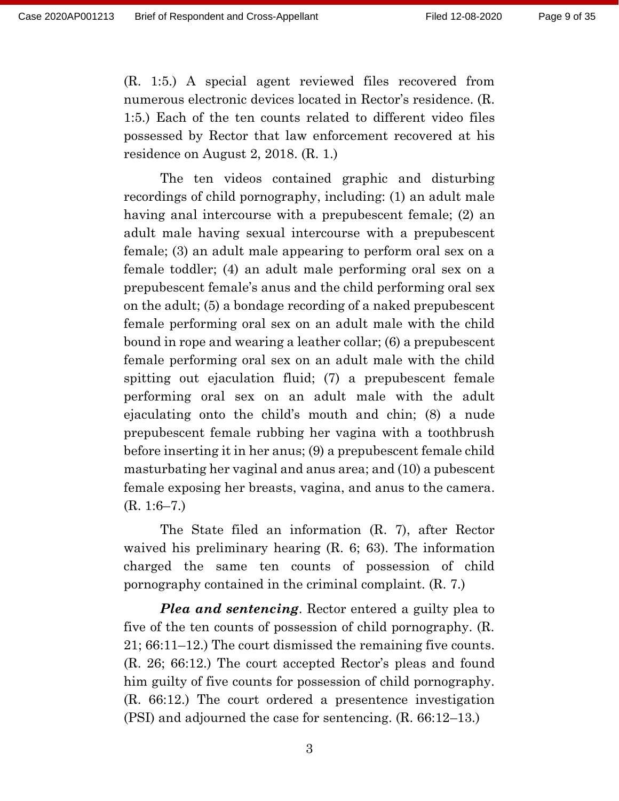(R. 1:5.) A special agent reviewed files recovered from numerous electronic devices located in Rector's residence. (R. 1:5.) Each of the ten counts related to different video files possessed by Rector that law enforcement recovered at his residence on August 2, 2018. (R. 1.)

The ten videos contained graphic and disturbing recordings of child pornography, including: (1) an adult male having anal intercourse with a prepubescent female; (2) an adult male having sexual intercourse with a prepubescent female; (3) an adult male appearing to perform oral sex on a female toddler; (4) an adult male performing oral sex on a prepubescent female's anus and the child performing oral sex on the adult; (5) a bondage recording of a naked prepubescent female performing oral sex on an adult male with the child bound in rope and wearing a leather collar; (6) a prepubescent female performing oral sex on an adult male with the child spitting out ejaculation fluid; (7) a prepubescent female performing oral sex on an adult male with the adult ejaculating onto the child's mouth and chin; (8) a nude prepubescent female rubbing her vagina with a toothbrush before inserting it in her anus; (9) a prepubescent female child masturbating her vaginal and anus area; and (10) a pubescent female exposing her breasts, vagina, and anus to the camera. (R. 1:6–7.)

The State filed an information (R. 7), after Rector waived his preliminary hearing (R. 6; 63). The information charged the same ten counts of possession of child pornography contained in the criminal complaint. (R. 7.)

*Plea and sentencing*. Rector entered a guilty plea to five of the ten counts of possession of child pornography. (R. 21; 66:11–12.) The court dismissed the remaining five counts. (R. 26; 66:12.) The court accepted Rector's pleas and found him guilty of five counts for possession of child pornography. (R. 66:12.) The court ordered a presentence investigation (PSI) and adjourned the case for sentencing. (R. 66:12–13.)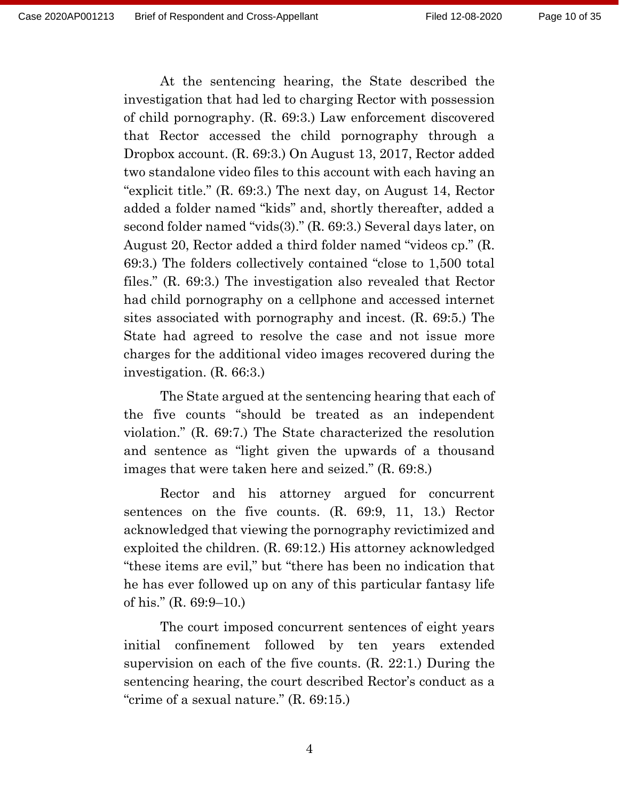At the sentencing hearing, the State described the investigation that had led to charging Rector with possession of child pornography. (R. 69:3.) Law enforcement discovered that Rector accessed the child pornography through a Dropbox account. (R. 69:3.) On August 13, 2017, Rector added two standalone video files to this account with each having an "explicit title." (R. 69:3.) The next day, on August 14, Rector added a folder named "kids" and, shortly thereafter, added a second folder named "vids(3)." (R. 69:3.) Several days later, on August 20, Rector added a third folder named "videos cp." (R. 69:3.) The folders collectively contained "close to 1,500 total files." (R. 69:3.) The investigation also revealed that Rector had child pornography on a cellphone and accessed internet sites associated with pornography and incest. (R. 69:5.) The State had agreed to resolve the case and not issue more charges for the additional video images recovered during the investigation. (R. 66:3.)

The State argued at the sentencing hearing that each of the five counts "should be treated as an independent violation." (R. 69:7.) The State characterized the resolution and sentence as "light given the upwards of a thousand images that were taken here and seized." (R. 69:8.)

Rector and his attorney argued for concurrent sentences on the five counts. (R. 69:9, 11, 13.) Rector acknowledged that viewing the pornography revictimized and exploited the children. (R. 69:12.) His attorney acknowledged "these items are evil," but "there has been no indication that he has ever followed up on any of this particular fantasy life of his." (R. 69:9–10.)

The court imposed concurrent sentences of eight years initial confinement followed by ten years extended supervision on each of the five counts. (R. 22:1.) During the sentencing hearing, the court described Rector's conduct as a "crime of a sexual nature." (R. 69:15.)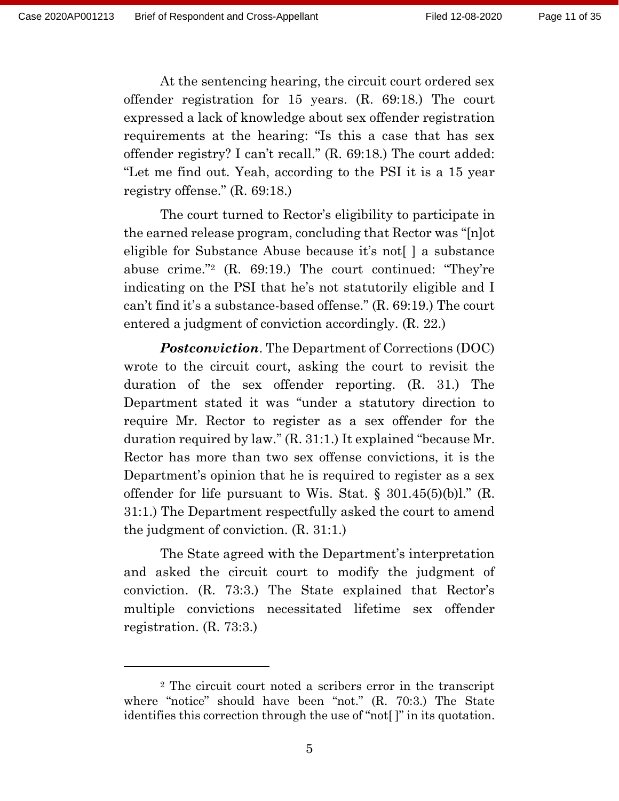At the sentencing hearing, the circuit court ordered sex offender registration for 15 years. (R. 69:18.) The court expressed a lack of knowledge about sex offender registration requirements at the hearing: "Is this a case that has sex offender registry? I can't recall." (R. 69:18.) The court added: "Let me find out. Yeah, according to the PSI it is a 15 year registry offense." (R. 69:18.)

The court turned to Rector's eligibility to participate in the earned release program, concluding that Rector was "[n]ot eligible for Substance Abuse because it's not[ ] a substance abuse crime."<sup>2</sup> (R. 69:19.) The court continued: "They're indicating on the PSI that he's not statutorily eligible and I can't find it's a substance-based offense." (R. 69:19.) The court entered a judgment of conviction accordingly. (R. 22.)

*Postconviction*. The Department of Corrections (DOC) wrote to the circuit court, asking the court to revisit the duration of the sex offender reporting. (R. 31.) The Department stated it was "under a statutory direction to require Mr. Rector to register as a sex offender for the duration required by law." (R. 31:1.) It explained "because Mr. Rector has more than two sex offense convictions, it is the Department's opinion that he is required to register as a sex offender for life pursuant to Wis. Stat.  $\S$  301.45(5)(b)l." (R. 31:1.) The Department respectfully asked the court to amend the judgment of conviction. (R. 31:1.)

The State agreed with the Department's interpretation and asked the circuit court to modify the judgment of conviction. (R. 73:3.) The State explained that Rector's multiple convictions necessitated lifetime sex offender registration. (R. 73:3.)

<sup>2</sup> The circuit court noted a scribers error in the transcript where "notice" should have been "not." (R. 70:3.) The State identifies this correction through the use of "not[ ]" in its quotation.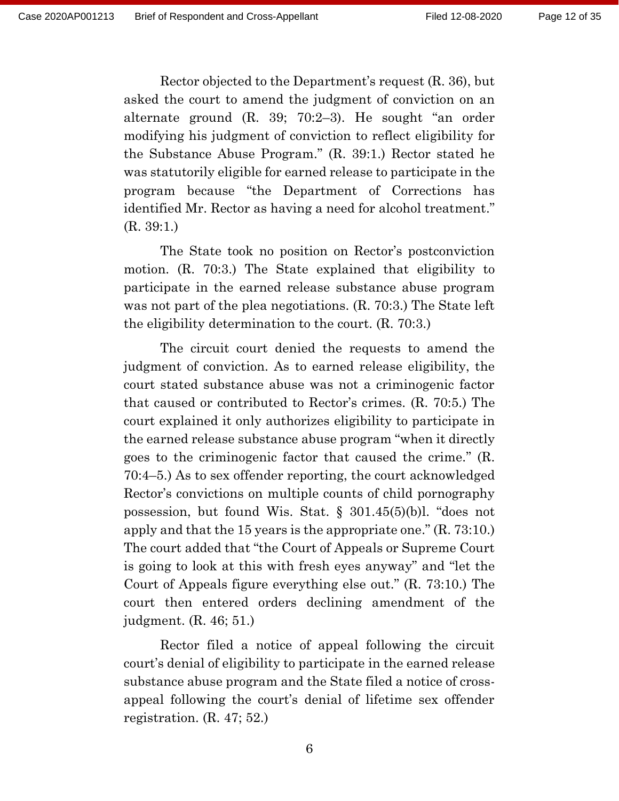Rector objected to the Department's request (R. 36), but asked the court to amend the judgment of conviction on an alternate ground (R. 39; 70:2–3). He sought "an order modifying his judgment of conviction to reflect eligibility for the Substance Abuse Program." (R. 39:1.) Rector stated he was statutorily eligible for earned release to participate in the program because "the Department of Corrections has identified Mr. Rector as having a need for alcohol treatment." (R. 39:1.)

The State took no position on Rector's postconviction motion. (R. 70:3.) The State explained that eligibility to participate in the earned release substance abuse program was not part of the plea negotiations. (R. 70:3.) The State left the eligibility determination to the court. (R. 70:3.)

The circuit court denied the requests to amend the judgment of conviction. As to earned release eligibility, the court stated substance abuse was not a criminogenic factor that caused or contributed to Rector's crimes. (R. 70:5.) The court explained it only authorizes eligibility to participate in the earned release substance abuse program "when it directly goes to the criminogenic factor that caused the crime." (R. 70:4–5.) As to sex offender reporting, the court acknowledged Rector's convictions on multiple counts of child pornography possession, but found Wis. Stat. § 301.45(5)(b)l. "does not apply and that the 15 years is the appropriate one." (R. 73:10.) The court added that "the Court of Appeals or Supreme Court is going to look at this with fresh eyes anyway" and "let the Court of Appeals figure everything else out." (R. 73:10.) The court then entered orders declining amendment of the judgment. (R. 46; 51.)

Rector filed a notice of appeal following the circuit court's denial of eligibility to participate in the earned release substance abuse program and the State filed a notice of crossappeal following the court's denial of lifetime sex offender registration. (R. 47; 52.)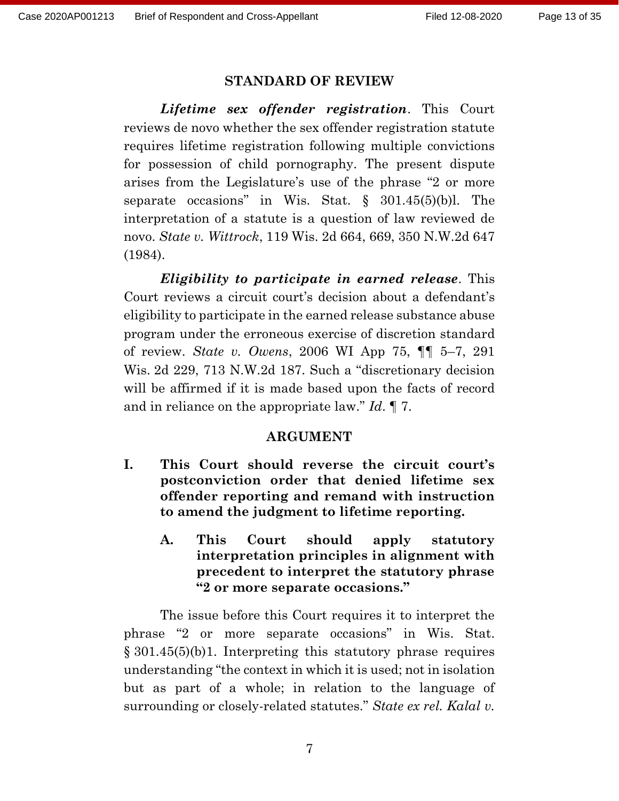#### **STANDARD OF REVIEW**

*Lifetime sex offender registration*. This Court reviews de novo whether the sex offender registration statute requires lifetime registration following multiple convictions for possession of child pornography. The present dispute arises from the Legislature's use of the phrase "2 or more separate occasions" in Wis. Stat. § 301.45(5)(b)l. The interpretation of a statute is a question of law reviewed de novo. *State v. Wittrock*, 119 Wis. 2d 664, 669, 350 N.W.2d 647 (1984).

*Eligibility to participate in earned release*. This Court reviews a circuit court's decision about a defendant's eligibility to participate in the earned release substance abuse program under the erroneous exercise of discretion standard of review. *State v. Owens*, 2006 WI App 75, ¶¶ 5–7, 291 Wis. 2d 229, 713 N.W.2d 187. Such a "discretionary decision will be affirmed if it is made based upon the facts of record and in reliance on the appropriate law." *Id*. ¶ 7.

#### **ARGUMENT**

- **I. This Court should reverse the circuit court's postconviction order that denied lifetime sex offender reporting and remand with instruction to amend the judgment to lifetime reporting.**
	- **A. This Court should apply statutory interpretation principles in alignment with precedent to interpret the statutory phrase "2 or more separate occasions."**

The issue before this Court requires it to interpret the phrase "2 or more separate occasions" in Wis. Stat. § 301.45(5)(b)1. Interpreting this statutory phrase requires understanding "the context in which it is used; not in isolation but as part of a whole; in relation to the language of surrounding or closely-related statutes." *State ex rel. Kalal v.*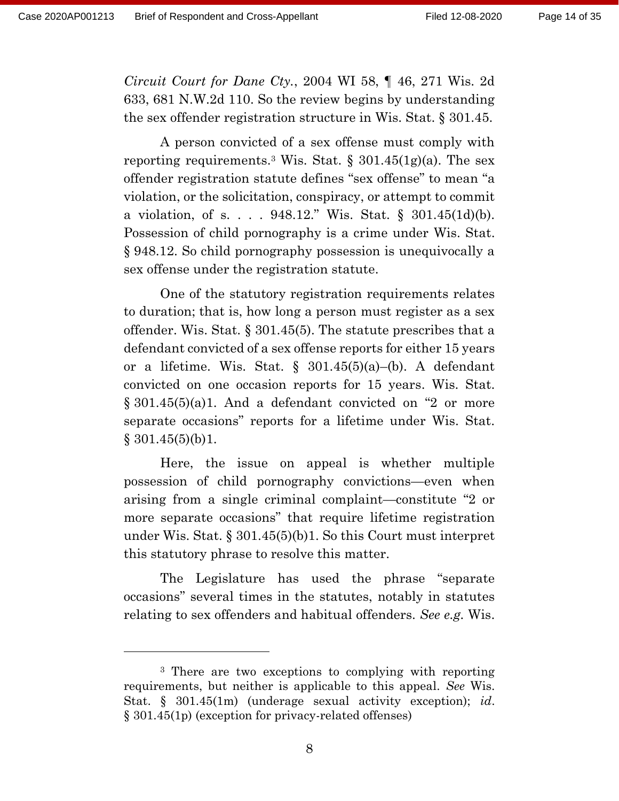*Circuit Court for Dane Cty.*, 2004 WI 58, ¶ 46, 271 Wis. 2d 633, 681 N.W.2d 110. So the review begins by understanding the sex offender registration structure in Wis. Stat. § 301.45.

A person convicted of a sex offense must comply with reporting requirements.<sup>3</sup> Wis. Stat.  $\S 301.45(1g)(a)$ . The sex offender registration statute defines "sex offense" to mean "a violation, or the solicitation, conspiracy, or attempt to commit a violation, of s. . . . 948.12." Wis. Stat. § 301.45(1d)(b). Possession of child pornography is a crime under Wis. Stat. § 948.12. So child pornography possession is unequivocally a sex offense under the registration statute.

One of the statutory registration requirements relates to duration; that is, how long a person must register as a sex offender. Wis. Stat. § 301.45(5). The statute prescribes that a defendant convicted of a sex offense reports for either 15 years or a lifetime. Wis. Stat. § 301.45(5)(a)–(b). A defendant convicted on one occasion reports for 15 years. Wis. Stat. § 301.45(5)(a)1. And a defendant convicted on "2 or more separate occasions" reports for a lifetime under Wis. Stat.  $§$  301.45(5)(b)1.

Here, the issue on appeal is whether multiple possession of child pornography convictions—even when arising from a single criminal complaint—constitute "2 or more separate occasions" that require lifetime registration under Wis. Stat. § 301.45(5)(b)1. So this Court must interpret this statutory phrase to resolve this matter.

The Legislature has used the phrase "separate occasions" several times in the statutes, notably in statutes relating to sex offenders and habitual offenders. *See e.g.* Wis.

<sup>3</sup> There are two exceptions to complying with reporting requirements, but neither is applicable to this appeal. *See* Wis. Stat. § 301.45(1m) (underage sexual activity exception); *id*. § 301.45(1p) (exception for privacy-related offenses)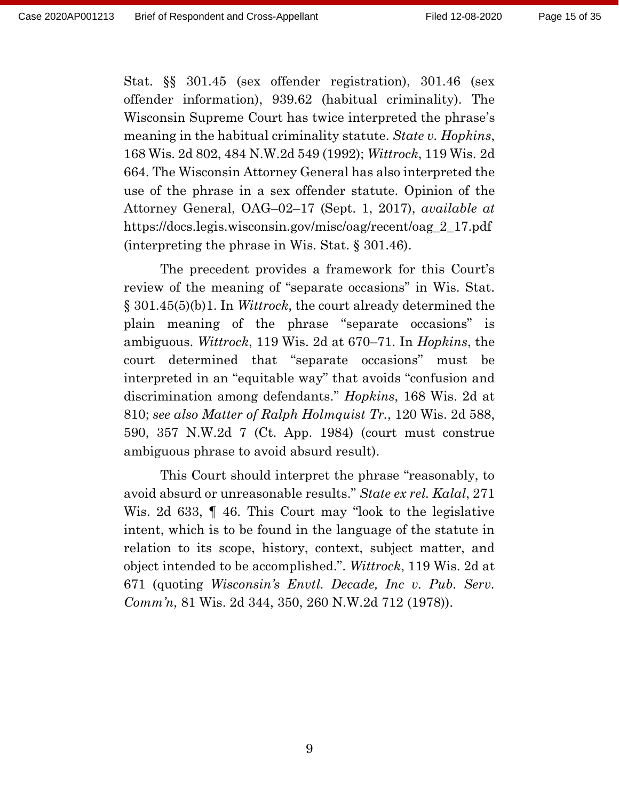Stat. §§ 301.45 (sex offender registration), 301.46 (sex offender information), 939.62 (habitual criminality). The Wisconsin Supreme Court has twice interpreted the phrase's meaning in the habitual criminality statute. *State v. Hopkins*, 168 Wis. 2d 802, 484 N.W.2d 549 (1992); *Wittrock*, 119 Wis. 2d 664. The Wisconsin Attorney General has also interpreted the use of the phrase in a sex offender statute. Opinion of the Attorney General, OAG–02–17 (Sept. 1, 2017), *available at* https://docs.legis.wisconsin.gov/misc/oag/recent/oag\_2\_17.pdf (interpreting the phrase in Wis. Stat. § 301.46).

The precedent provides a framework for this Court's review of the meaning of "separate occasions" in Wis. Stat. § 301.45(5)(b)1. In *Wittrock*, the court already determined the plain meaning of the phrase "separate occasions" is ambiguous. *Wittrock*, 119 Wis. 2d at 670–71. In *Hopkins*, the court determined that "separate occasions" must be interpreted in an "equitable way" that avoids "confusion and discrimination among defendants." *Hopkins*, 168 Wis. 2d at 810; *see also Matter of Ralph Holmquist Tr.*, 120 Wis. 2d 588, 590, 357 N.W.2d 7 (Ct. App. 1984) (court must construe ambiguous phrase to avoid absurd result).

This Court should interpret the phrase "reasonably, to avoid absurd or unreasonable results." *State ex rel. Kalal*, 271 Wis. 2d 633, ¶ 46. This Court may "look to the legislative intent, which is to be found in the language of the statute in relation to its scope, history, context, subject matter, and object intended to be accomplished.". *Wittrock*, 119 Wis. 2d at 671 (quoting *Wisconsin's Envtl. Decade, Inc v. Pub. Serv. Comm'n*, 81 Wis. 2d 344, 350, 260 N.W.2d 712 (1978)).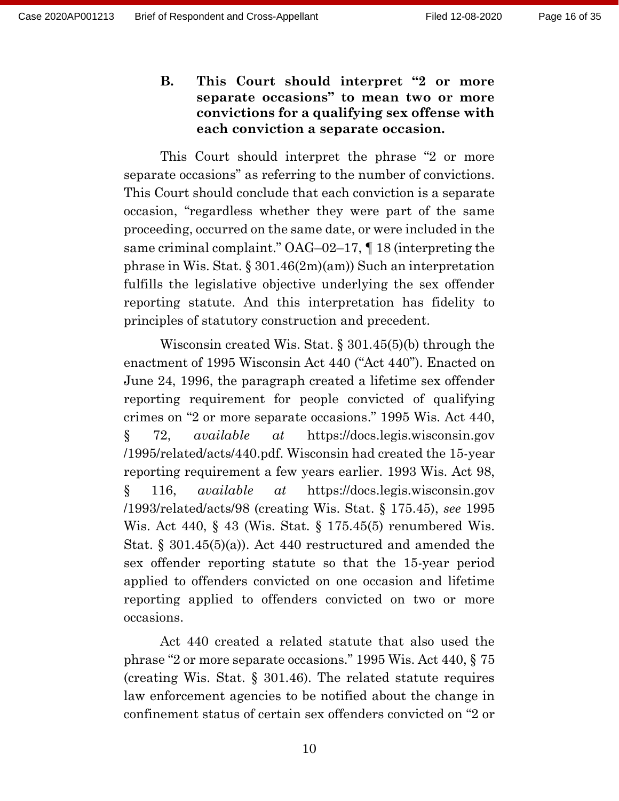**B. This Court should interpret "2 or more separate occasions" to mean two or more convictions for a qualifying sex offense with each conviction a separate occasion.**

This Court should interpret the phrase "2 or more separate occasions" as referring to the number of convictions. This Court should conclude that each conviction is a separate occasion, "regardless whether they were part of the same proceeding, occurred on the same date, or were included in the same criminal complaint." OAG–02–17, ¶ 18 (interpreting the phrase in Wis. Stat.  $\S 301.46(2m)(am)$  Such an interpretation fulfills the legislative objective underlying the sex offender reporting statute. And this interpretation has fidelity to principles of statutory construction and precedent.

Wisconsin created Wis. Stat. § 301.45(5)(b) through the enactment of 1995 Wisconsin Act 440 ("Act 440"). Enacted on June 24, 1996, the paragraph created a lifetime sex offender reporting requirement for people convicted of qualifying crimes on "2 or more separate occasions." 1995 Wis. Act 440, § 72, *available at* https://docs.legis.wisconsin.gov /1995/related/acts/440.pdf. Wisconsin had created the 15-year reporting requirement a few years earlier. 1993 Wis. Act 98, § 116, *available at* https://docs.legis.wisconsin.gov /1993/related/acts/98 (creating Wis. Stat. § 175.45), *see* 1995 Wis. Act 440, § 43 (Wis. Stat. § 175.45(5) renumbered Wis. Stat. § 301.45(5)(a)). Act 440 restructured and amended the sex offender reporting statute so that the 15-year period applied to offenders convicted on one occasion and lifetime reporting applied to offenders convicted on two or more occasions.

Act 440 created a related statute that also used the phrase "2 or more separate occasions." 1995 Wis. Act 440, § 75 (creating Wis. Stat. § 301.46). The related statute requires law enforcement agencies to be notified about the change in confinement status of certain sex offenders convicted on "2 or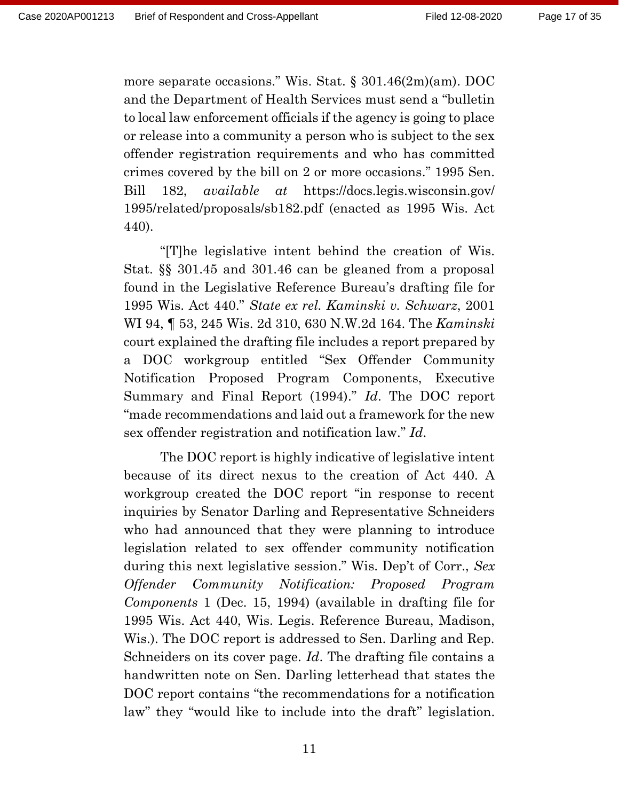more separate occasions." Wis. Stat. § 301.46(2m)(am). DOC and the Department of Health Services must send a "bulletin to local law enforcement officials if the agency is going to place or release into a community a person who is subject to the sex offender registration requirements and who has committed crimes covered by the bill on 2 or more occasions." 1995 Sen. Bill 182, *available at* https://docs.legis.wisconsin.gov/ 1995/related/proposals/sb182.pdf (enacted as 1995 Wis. Act 440).

"[T]he legislative intent behind the creation of Wis. Stat. §§ 301.45 and 301.46 can be gleaned from a proposal found in the Legislative Reference Bureau's drafting file for 1995 Wis. Act 440." *State ex rel. Kaminski v. Schwarz*, 2001 WI 94, ¶ 53, 245 Wis. 2d 310, 630 N.W.2d 164. The *Kaminski* court explained the drafting file includes a report prepared by a DOC workgroup entitled "Sex Offender Community Notification Proposed Program Components, Executive Summary and Final Report (1994)." *Id*. The DOC report "made recommendations and laid out a framework for the new sex offender registration and notification law." *Id*.

The DOC report is highly indicative of legislative intent because of its direct nexus to the creation of Act 440. A workgroup created the DOC report "in response to recent inquiries by Senator Darling and Representative Schneiders who had announced that they were planning to introduce legislation related to sex offender community notification during this next legislative session." Wis. Dep't of Corr., *Sex Offender Community Notification: Proposed Program Components* 1 (Dec. 15, 1994) (available in drafting file for 1995 Wis. Act 440, Wis. Legis. Reference Bureau, Madison, Wis.). The DOC report is addressed to Sen. Darling and Rep. Schneiders on its cover page. *Id*. The drafting file contains a handwritten note on Sen. Darling letterhead that states the DOC report contains "the recommendations for a notification law" they "would like to include into the draft" legislation.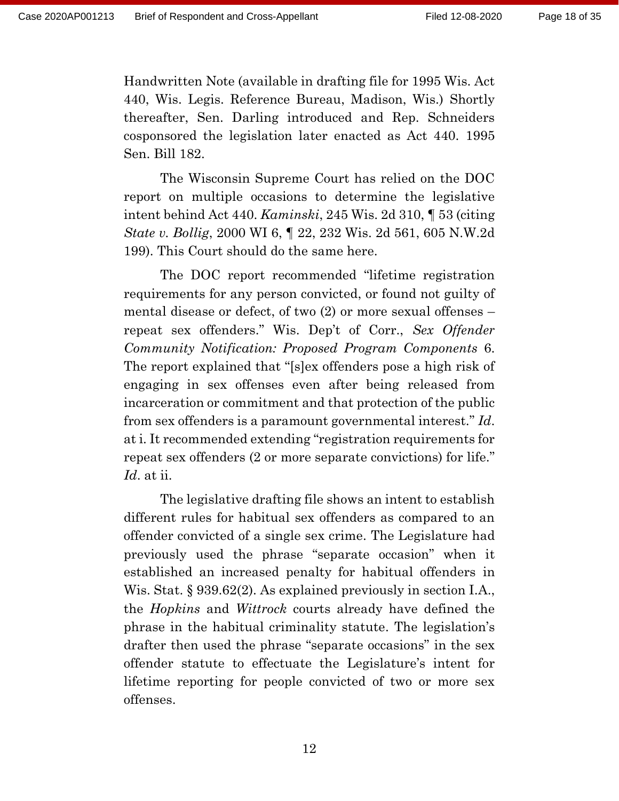Handwritten Note (available in drafting file for 1995 Wis. Act 440, Wis. Legis. Reference Bureau, Madison, Wis.) Shortly thereafter, Sen. Darling introduced and Rep. Schneiders cosponsored the legislation later enacted as Act 440. 1995 Sen. Bill 182.

The Wisconsin Supreme Court has relied on the DOC report on multiple occasions to determine the legislative intent behind Act 440. *Kaminski*, 245 Wis. 2d 310, ¶ 53 (citing *State v. Bollig*, 2000 WI 6, ¶ 22, 232 Wis. 2d 561, 605 N.W.2d 199). This Court should do the same here.

The DOC report recommended "lifetime registration requirements for any person convicted, or found not guilty of mental disease or defect, of two (2) or more sexual offenses – repeat sex offenders." Wis. Dep't of Corr., *Sex Offender Community Notification: Proposed Program Components* 6. The report explained that "[s]ex offenders pose a high risk of engaging in sex offenses even after being released from incarceration or commitment and that protection of the public from sex offenders is a paramount governmental interest." *Id*. at i. It recommended extending "registration requirements for repeat sex offenders (2 or more separate convictions) for life." *Id*. at ii.

The legislative drafting file shows an intent to establish different rules for habitual sex offenders as compared to an offender convicted of a single sex crime. The Legislature had previously used the phrase "separate occasion" when it established an increased penalty for habitual offenders in Wis. Stat. § 939.62(2). As explained previously in section I.A., the *Hopkins* and *Wittrock* courts already have defined the phrase in the habitual criminality statute. The legislation's drafter then used the phrase "separate occasions" in the sex offender statute to effectuate the Legislature's intent for lifetime reporting for people convicted of two or more sex offenses.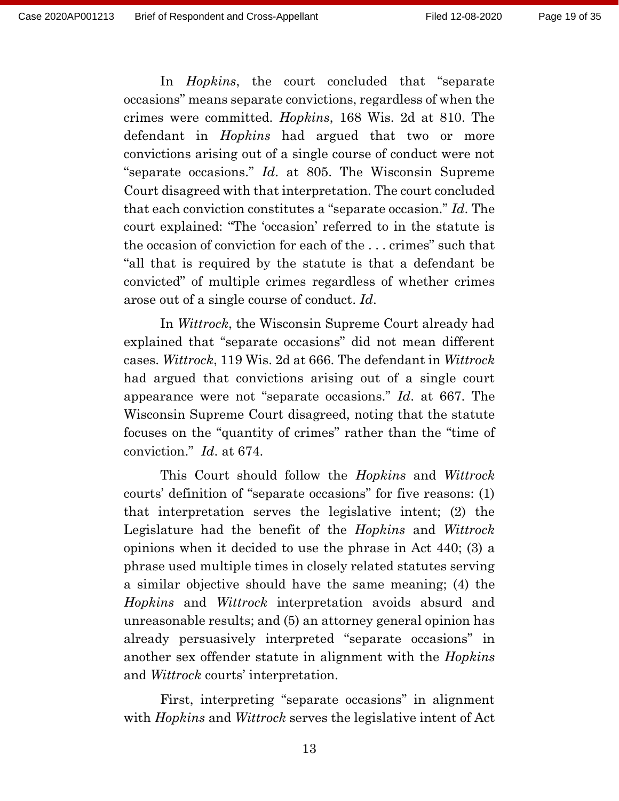In *Hopkins*, the court concluded that "separate occasions" means separate convictions, regardless of when the crimes were committed. *Hopkins*, 168 Wis. 2d at 810. The defendant in *Hopkins* had argued that two or more convictions arising out of a single course of conduct were not "separate occasions." *Id*. at 805. The Wisconsin Supreme Court disagreed with that interpretation. The court concluded that each conviction constitutes a "separate occasion." *Id*. The court explained: "The 'occasion' referred to in the statute is the occasion of conviction for each of the . . . crimes" such that "all that is required by the statute is that a defendant be convicted" of multiple crimes regardless of whether crimes arose out of a single course of conduct. *Id*.

In *Wittrock*, the Wisconsin Supreme Court already had explained that "separate occasions" did not mean different cases. *Wittrock*, 119 Wis. 2d at 666. The defendant in *Wittrock* had argued that convictions arising out of a single court appearance were not "separate occasions." *Id*. at 667. The Wisconsin Supreme Court disagreed, noting that the statute focuses on the "quantity of crimes" rather than the "time of conviction." *Id*. at 674.

This Court should follow the *Hopkins* and *Wittrock* courts' definition of "separate occasions" for five reasons: (1) that interpretation serves the legislative intent; (2) the Legislature had the benefit of the *Hopkins* and *Wittrock* opinions when it decided to use the phrase in Act 440; (3) a phrase used multiple times in closely related statutes serving a similar objective should have the same meaning; (4) the *Hopkins* and *Wittrock* interpretation avoids absurd and unreasonable results; and (5) an attorney general opinion has already persuasively interpreted "separate occasions" in another sex offender statute in alignment with the *Hopkins*  and *Wittrock* courts' interpretation.

First, interpreting "separate occasions" in alignment with *Hopkins* and *Wittrock* serves the legislative intent of Act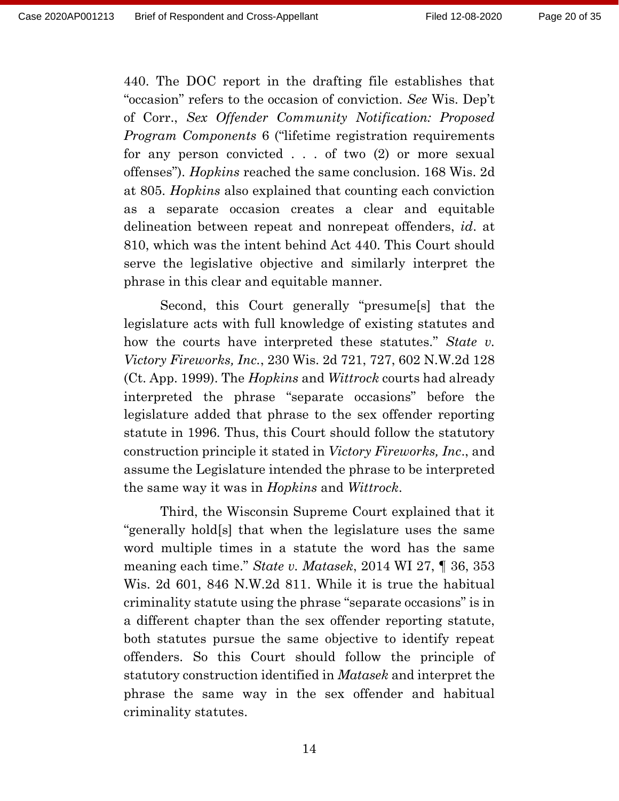440. The DOC report in the drafting file establishes that "occasion" refers to the occasion of conviction. *See* Wis. Dep't of Corr., *Sex Offender Community Notification: Proposed Program Components* 6 ("lifetime registration requirements for any person convicted . . . of two (2) or more sexual offenses"). *Hopkins* reached the same conclusion. 168 Wis. 2d at 805. *Hopkins* also explained that counting each conviction as a separate occasion creates a clear and equitable delineation between repeat and nonrepeat offenders, *id*. at 810, which was the intent behind Act 440. This Court should serve the legislative objective and similarly interpret the phrase in this clear and equitable manner.

Second, this Court generally "presume[s] that the legislature acts with full knowledge of existing statutes and how the courts have interpreted these statutes." *State v. Victory Fireworks, Inc.*, 230 Wis. 2d 721, 727, 602 N.W.2d 128 (Ct. App. 1999). The *Hopkins* and *Wittrock* courts had already interpreted the phrase "separate occasions" before the legislature added that phrase to the sex offender reporting statute in 1996. Thus, this Court should follow the statutory construction principle it stated in *Victory Fireworks, Inc*., and assume the Legislature intended the phrase to be interpreted the same way it was in *Hopkins* and *Wittrock*.

Third, the Wisconsin Supreme Court explained that it "generally hold[s] that when the legislature uses the same word multiple times in a statute the word has the same meaning each time." *State v. Matasek*, 2014 WI 27, ¶ 36, 353 Wis. 2d 601, 846 N.W.2d 811. While it is true the habitual criminality statute using the phrase "separate occasions" is in a different chapter than the sex offender reporting statute, both statutes pursue the same objective to identify repeat offenders. So this Court should follow the principle of statutory construction identified in *Matasek* and interpret the phrase the same way in the sex offender and habitual criminality statutes.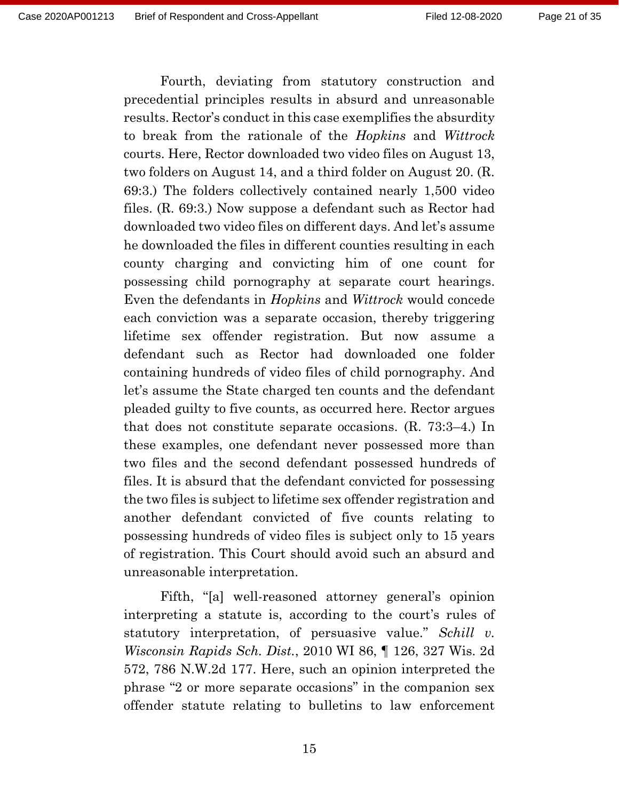Fourth, deviating from statutory construction and precedential principles results in absurd and unreasonable results. Rector's conduct in this case exemplifies the absurdity to break from the rationale of the *Hopkins* and *Wittrock* courts. Here, Rector downloaded two video files on August 13, two folders on August 14, and a third folder on August 20. (R. 69:3.) The folders collectively contained nearly 1,500 video files. (R. 69:3.) Now suppose a defendant such as Rector had downloaded two video files on different days. And let's assume he downloaded the files in different counties resulting in each county charging and convicting him of one count for possessing child pornography at separate court hearings. Even the defendants in *Hopkins* and *Wittrock* would concede each conviction was a separate occasion, thereby triggering lifetime sex offender registration. But now assume a defendant such as Rector had downloaded one folder containing hundreds of video files of child pornography. And let's assume the State charged ten counts and the defendant pleaded guilty to five counts, as occurred here. Rector argues that does not constitute separate occasions. (R. 73:3–4.) In these examples, one defendant never possessed more than two files and the second defendant possessed hundreds of files. It is absurd that the defendant convicted for possessing the two files is subject to lifetime sex offender registration and another defendant convicted of five counts relating to possessing hundreds of video files is subject only to 15 years of registration. This Court should avoid such an absurd and unreasonable interpretation.

Fifth, "[a] well-reasoned attorney general's opinion interpreting a statute is, according to the court's rules of statutory interpretation, of persuasive value." *Schill v. Wisconsin Rapids Sch. Dist.*, 2010 WI 86, ¶ 126, 327 Wis. 2d 572, 786 N.W.2d 177. Here, such an opinion interpreted the phrase "2 or more separate occasions" in the companion sex offender statute relating to bulletins to law enforcement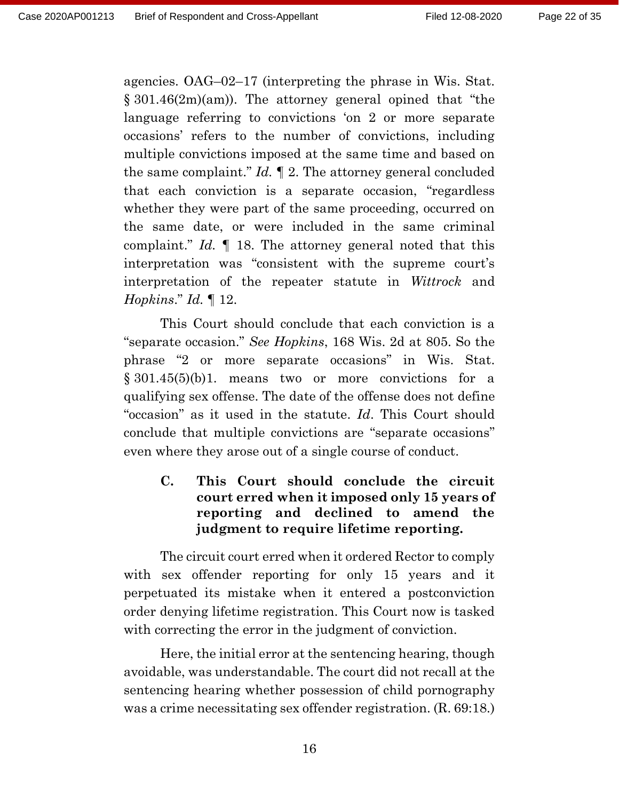agencies. OAG–02–17 (interpreting the phrase in Wis. Stat. § 301.46(2m)(am)). The attorney general opined that "the language referring to convictions 'on 2 or more separate occasions' refers to the number of convictions, including multiple convictions imposed at the same time and based on the same complaint." *Id.* ¶ 2. The attorney general concluded that each conviction is a separate occasion, "regardless whether they were part of the same proceeding, occurred on the same date, or were included in the same criminal complaint." *Id.* ¶ 18. The attorney general noted that this interpretation was "consistent with the supreme court's interpretation of the repeater statute in *Wittrock* and *Hopkins*." *Id.* ¶ 12.

This Court should conclude that each conviction is a "separate occasion." *See Hopkins*, 168 Wis. 2d at 805. So the phrase "2 or more separate occasions" in Wis. Stat. § 301.45(5)(b)1. means two or more convictions for a qualifying sex offense. The date of the offense does not define "occasion" as it used in the statute. *Id*. This Court should conclude that multiple convictions are "separate occasions" even where they arose out of a single course of conduct.

**C. This Court should conclude the circuit court erred when it imposed only 15 years of reporting and declined to amend the judgment to require lifetime reporting.**

The circuit court erred when it ordered Rector to comply with sex offender reporting for only 15 years and it perpetuated its mistake when it entered a postconviction order denying lifetime registration. This Court now is tasked with correcting the error in the judgment of conviction.

Here, the initial error at the sentencing hearing, though avoidable, was understandable. The court did not recall at the sentencing hearing whether possession of child pornography was a crime necessitating sex offender registration. (R. 69:18.)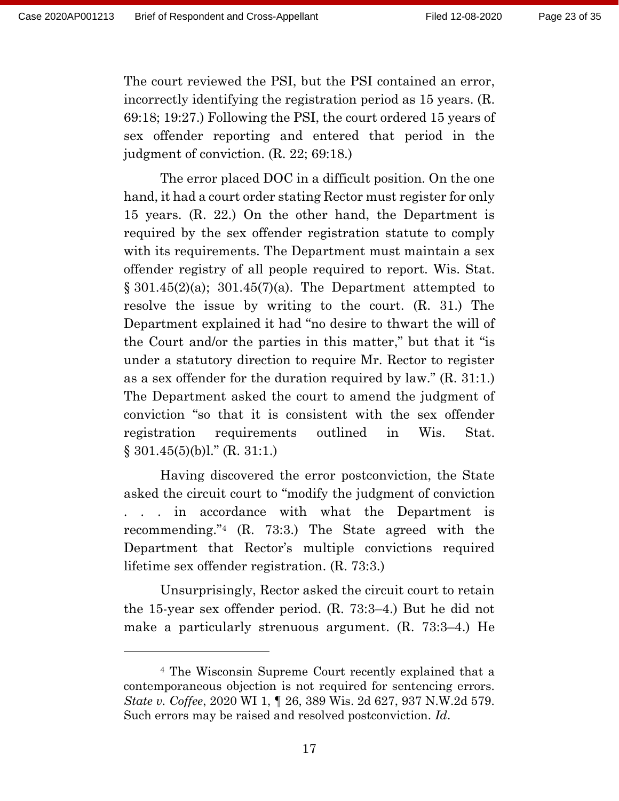The court reviewed the PSI, but the PSI contained an error, incorrectly identifying the registration period as 15 years. (R. 69:18; 19:27.) Following the PSI, the court ordered 15 years of sex offender reporting and entered that period in the judgment of conviction. (R. 22; 69:18.)

The error placed DOC in a difficult position. On the one hand, it had a court order stating Rector must register for only 15 years. (R. 22.) On the other hand, the Department is required by the sex offender registration statute to comply with its requirements. The Department must maintain a sex offender registry of all people required to report. Wis. Stat.  $\S 301.45(2)(a)$ ;  $301.45(7)(a)$ . The Department attempted to resolve the issue by writing to the court. (R. 31.) The Department explained it had "no desire to thwart the will of the Court and/or the parties in this matter," but that it "is under a statutory direction to require Mr. Rector to register as a sex offender for the duration required by law." (R. 31:1.) The Department asked the court to amend the judgment of conviction "so that it is consistent with the sex offender registration requirements outlined in Wis. Stat.  $§ 301.45(5)(b)1." (R. 31:1.)$ 

Having discovered the error postconviction, the State asked the circuit court to "modify the judgment of conviction . . . in accordance with what the Department is recommending." <sup>4</sup> (R. 73:3.) The State agreed with the Department that Rector's multiple convictions required lifetime sex offender registration. (R. 73:3.)

Unsurprisingly, Rector asked the circuit court to retain the 15-year sex offender period. (R. 73:3–4.) But he did not make a particularly strenuous argument. (R. 73:3–4.) He

<sup>4</sup> The Wisconsin Supreme Court recently explained that a contemporaneous objection is not required for sentencing errors. *State v. Coffee*, 2020 WI 1, ¶ 26, 389 Wis. 2d 627, 937 N.W.2d 579. Such errors may be raised and resolved postconviction. *Id*.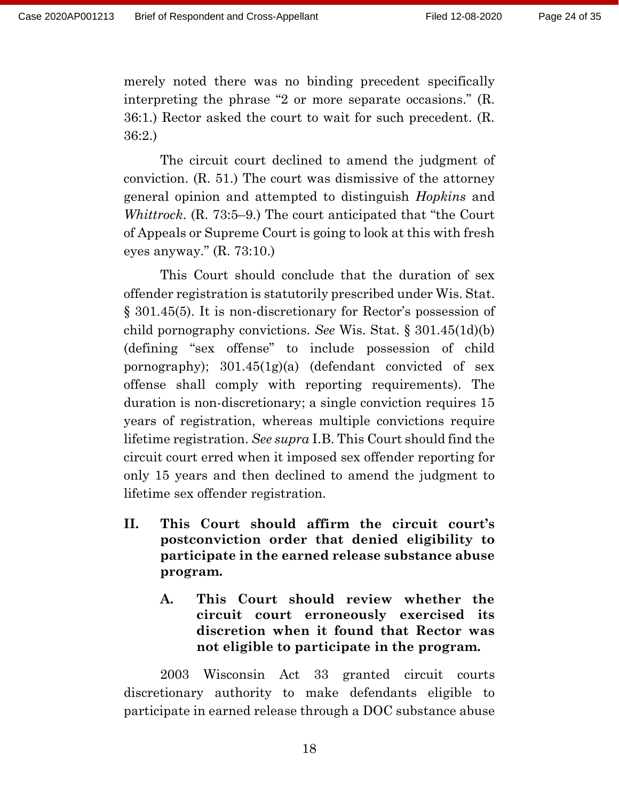merely noted there was no binding precedent specifically interpreting the phrase "2 or more separate occasions." (R. 36:1.) Rector asked the court to wait for such precedent. (R. 36:2.)

The circuit court declined to amend the judgment of conviction. (R. 51.) The court was dismissive of the attorney general opinion and attempted to distinguish *Hopkins* and *Whittrock*. (R. 73:5–9.) The court anticipated that "the Court of Appeals or Supreme Court is going to look at this with fresh eyes anyway." (R. 73:10.)

This Court should conclude that the duration of sex offender registration is statutorily prescribed under Wis. Stat. § 301.45(5). It is non-discretionary for Rector's possession of child pornography convictions. *See* Wis. Stat. § 301.45(1d)(b) (defining "sex offense" to include possession of child pornography); 301.45(1g)(a) (defendant convicted of sex offense shall comply with reporting requirements). The duration is non-discretionary; a single conviction requires 15 years of registration, whereas multiple convictions require lifetime registration. *See supra* I.B. This Court should find the circuit court erred when it imposed sex offender reporting for only 15 years and then declined to amend the judgment to lifetime sex offender registration.

- **II. This Court should affirm the circuit court's postconviction order that denied eligibility to participate in the earned release substance abuse program.**
	- **A. This Court should review whether the circuit court erroneously exercised its discretion when it found that Rector was not eligible to participate in the program.**

2003 Wisconsin Act 33 granted circuit courts discretionary authority to make defendants eligible to participate in earned release through a DOC substance abuse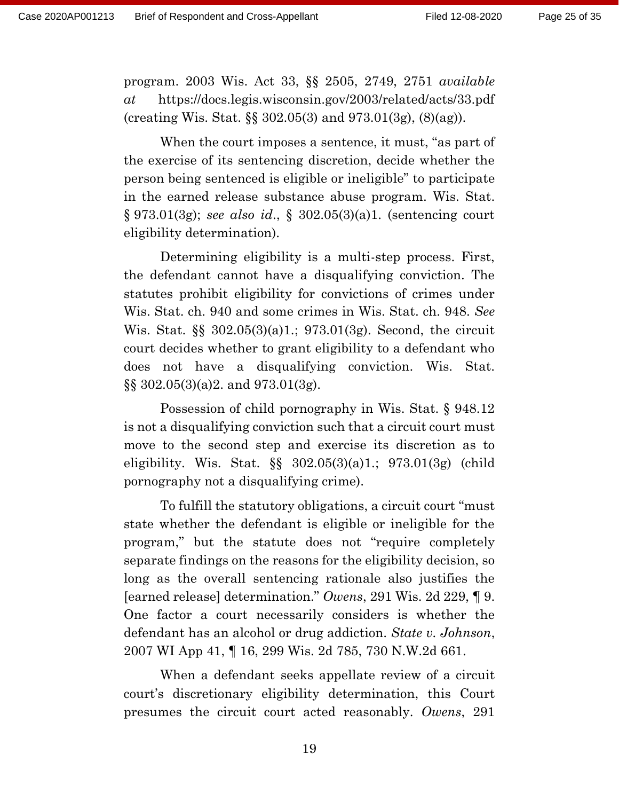program. 2003 Wis. Act 33, §§ 2505, 2749, 2751 *available at* https://docs.legis.wisconsin.gov/2003/related/acts/33.pdf (creating Wis. Stat. §§ 302.05(3) and 973.01(3g), (8)(ag)).

When the court imposes a sentence, it must, "as part of the exercise of its sentencing discretion, decide whether the person being sentenced is eligible or ineligible" to participate in the earned release substance abuse program. Wis. Stat. § 973.01(3g); *see also id*., § 302.05(3)(a)1. (sentencing court eligibility determination).

Determining eligibility is a multi-step process. First, the defendant cannot have a disqualifying conviction. The statutes prohibit eligibility for convictions of crimes under Wis. Stat. ch. 940 and some crimes in Wis. Stat. ch. 948. *See*  Wis. Stat. §§ 302.05(3)(a)1.; 973.01(3g). Second, the circuit court decides whether to grant eligibility to a defendant who does not have a disqualifying conviction. Wis. Stat. §§ 302.05(3)(a)2. and 973.01(3g).

Possession of child pornography in Wis. Stat. § 948.12 is not a disqualifying conviction such that a circuit court must move to the second step and exercise its discretion as to eligibility. Wis. Stat. §§ 302.05(3)(a)1.; 973.01(3g) (child pornography not a disqualifying crime).

To fulfill the statutory obligations, a circuit court "must state whether the defendant is eligible or ineligible for the program," but the statute does not "require completely separate findings on the reasons for the eligibility decision, so long as the overall sentencing rationale also justifies the [earned release] determination." *Owens*, 291 Wis. 2d 229, ¶ 9. One factor a court necessarily considers is whether the defendant has an alcohol or drug addiction. *State v. Johnson*, 2007 WI App 41, ¶ 16, 299 Wis. 2d 785, 730 N.W.2d 661.

When a defendant seeks appellate review of a circuit court's discretionary eligibility determination, this Court presumes the circuit court acted reasonably. *Owens*, 291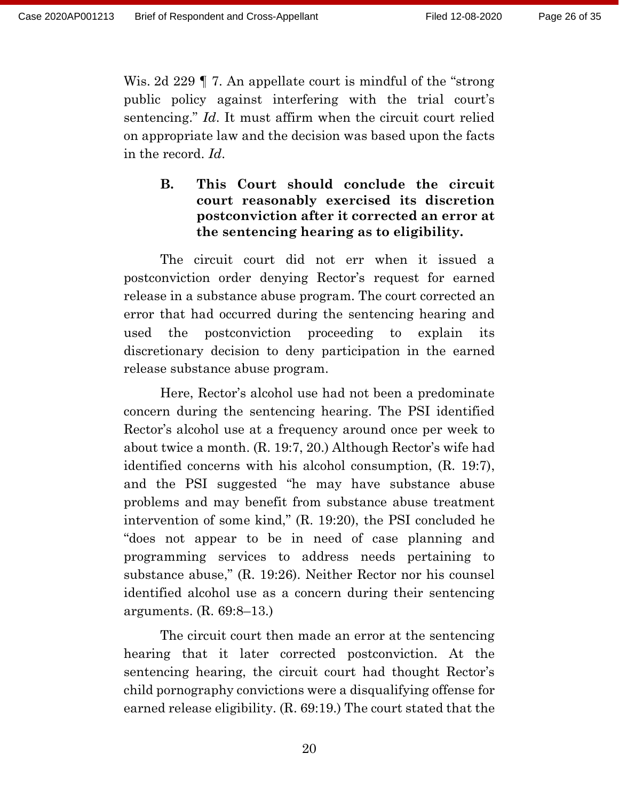Wis. 2d 229 | 7. An appellate court is mindful of the "strong" public policy against interfering with the trial court's sentencing." *Id*. It must affirm when the circuit court relied on appropriate law and the decision was based upon the facts in the record. *Id*.

## **B. This Court should conclude the circuit court reasonably exercised its discretion postconviction after it corrected an error at the sentencing hearing as to eligibility.**

The circuit court did not err when it issued a postconviction order denying Rector's request for earned release in a substance abuse program. The court corrected an error that had occurred during the sentencing hearing and used the postconviction proceeding to explain its discretionary decision to deny participation in the earned release substance abuse program.

Here, Rector's alcohol use had not been a predominate concern during the sentencing hearing. The PSI identified Rector's alcohol use at a frequency around once per week to about twice a month. (R. 19:7, 20.) Although Rector's wife had identified concerns with his alcohol consumption, (R. 19:7), and the PSI suggested "he may have substance abuse problems and may benefit from substance abuse treatment intervention of some kind," (R. 19:20), the PSI concluded he "does not appear to be in need of case planning and programming services to address needs pertaining to substance abuse," (R. 19:26). Neither Rector nor his counsel identified alcohol use as a concern during their sentencing arguments. (R. 69:8–13.)

The circuit court then made an error at the sentencing hearing that it later corrected postconviction. At the sentencing hearing, the circuit court had thought Rector's child pornography convictions were a disqualifying offense for earned release eligibility. (R. 69:19.) The court stated that the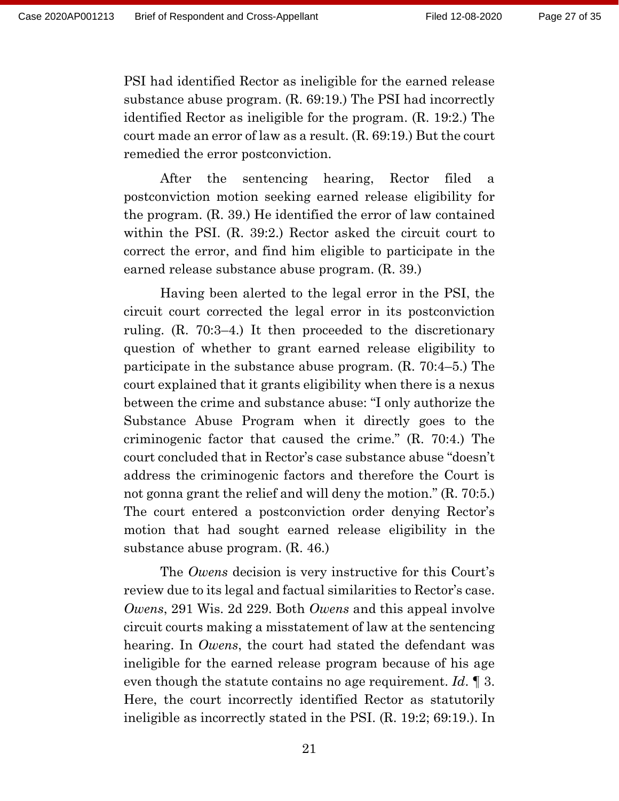PSI had identified Rector as ineligible for the earned release substance abuse program. (R. 69:19.) The PSI had incorrectly identified Rector as ineligible for the program. (R. 19:2.) The court made an error of law as a result. (R. 69:19.) But the court remedied the error postconviction.

After the sentencing hearing, Rector filed a postconviction motion seeking earned release eligibility for the program. (R. 39.) He identified the error of law contained within the PSI. (R. 39:2.) Rector asked the circuit court to correct the error, and find him eligible to participate in the earned release substance abuse program. (R. 39.)

Having been alerted to the legal error in the PSI, the circuit court corrected the legal error in its postconviction ruling. (R. 70:3–4.) It then proceeded to the discretionary question of whether to grant earned release eligibility to participate in the substance abuse program. (R. 70:4–5.) The court explained that it grants eligibility when there is a nexus between the crime and substance abuse: "I only authorize the Substance Abuse Program when it directly goes to the criminogenic factor that caused the crime." (R. 70:4.) The court concluded that in Rector's case substance abuse "doesn't address the criminogenic factors and therefore the Court is not gonna grant the relief and will deny the motion." (R. 70:5.) The court entered a postconviction order denying Rector's motion that had sought earned release eligibility in the substance abuse program. (R. 46.)

The *Owens* decision is very instructive for this Court's review due to its legal and factual similarities to Rector's case. *Owens*, 291 Wis. 2d 229. Both *Owens* and this appeal involve circuit courts making a misstatement of law at the sentencing hearing. In *Owens*, the court had stated the defendant was ineligible for the earned release program because of his age even though the statute contains no age requirement. *Id*. ¶ 3. Here, the court incorrectly identified Rector as statutorily ineligible as incorrectly stated in the PSI. (R. 19:2; 69:19.). In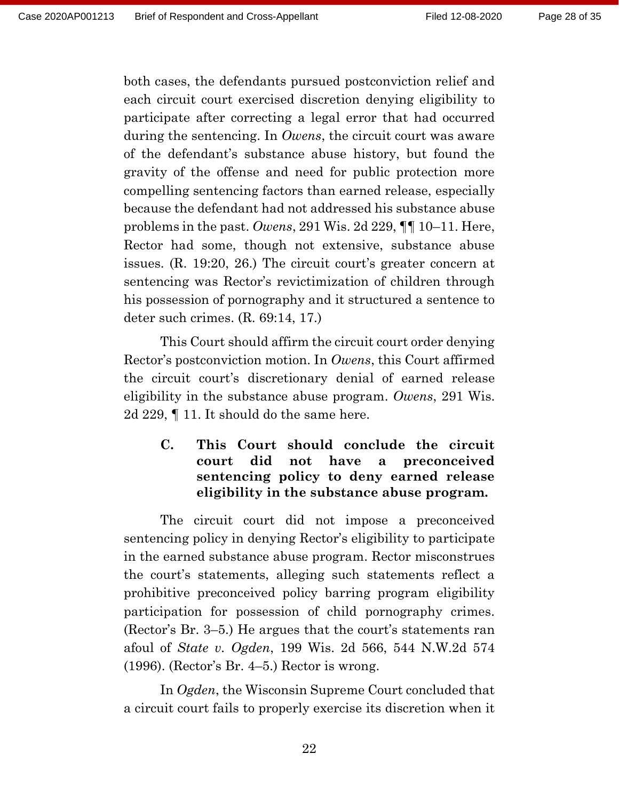both cases, the defendants pursued postconviction relief and each circuit court exercised discretion denying eligibility to participate after correcting a legal error that had occurred during the sentencing. In *Owens*, the circuit court was aware of the defendant's substance abuse history, but found the gravity of the offense and need for public protection more compelling sentencing factors than earned release, especially because the defendant had not addressed his substance abuse problems in the past. *Owens*, 291 Wis. 2d 229, ¶¶ 10–11. Here, Rector had some, though not extensive, substance abuse issues. (R. 19:20, 26.) The circuit court's greater concern at sentencing was Rector's revictimization of children through his possession of pornography and it structured a sentence to deter such crimes. (R. 69:14, 17.)

This Court should affirm the circuit court order denying Rector's postconviction motion. In *Owens*, this Court affirmed the circuit court's discretionary denial of earned release eligibility in the substance abuse program. *Owens*, 291 Wis. 2d 229, ¶ 11. It should do the same here.

## **C. This Court should conclude the circuit court did not have a preconceived sentencing policy to deny earned release eligibility in the substance abuse program.**

The circuit court did not impose a preconceived sentencing policy in denying Rector's eligibility to participate in the earned substance abuse program. Rector misconstrues the court's statements, alleging such statements reflect a prohibitive preconceived policy barring program eligibility participation for possession of child pornography crimes. (Rector's Br. 3–5.) He argues that the court's statements ran afoul of *State v. Ogden*, 199 Wis. 2d 566, 544 N.W.2d 574 (1996). (Rector's Br. 4–5.) Rector is wrong.

In *Ogden*, the Wisconsin Supreme Court concluded that a circuit court fails to properly exercise its discretion when it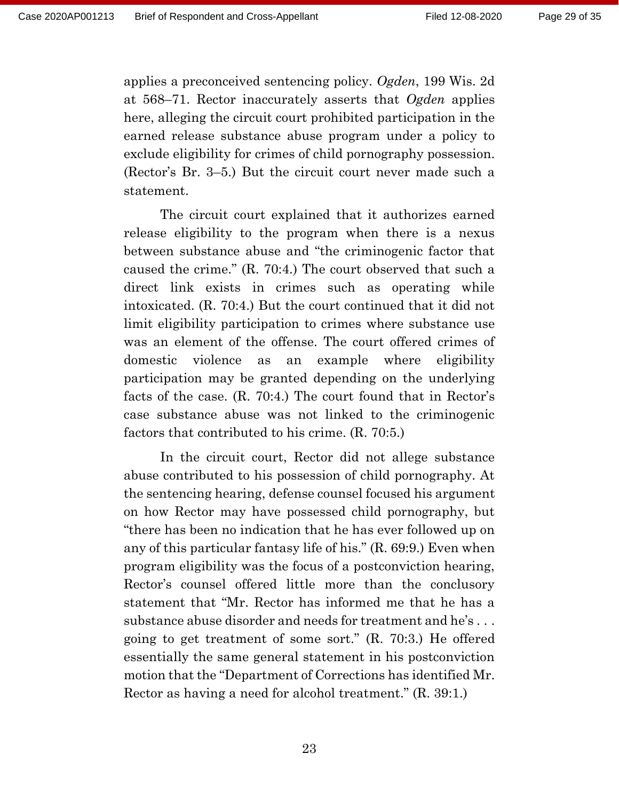applies a preconceived sentencing policy. *Ogden*, 199 Wis. 2d at 568–71. Rector inaccurately asserts that *Ogden* applies here, alleging the circuit court prohibited participation in the earned release substance abuse program under a policy to exclude eligibility for crimes of child pornography possession. (Rector's Br. 3–5.) But the circuit court never made such a statement.

The circuit court explained that it authorizes earned release eligibility to the program when there is a nexus between substance abuse and "the criminogenic factor that caused the crime." (R. 70:4.) The court observed that such a direct link exists in crimes such as operating while intoxicated. (R. 70:4.) But the court continued that it did not limit eligibility participation to crimes where substance use was an element of the offense. The court offered crimes of domestic violence as an example where eligibility participation may be granted depending on the underlying facts of the case. (R. 70:4.) The court found that in Rector's case substance abuse was not linked to the criminogenic factors that contributed to his crime. (R. 70:5.)

In the circuit court, Rector did not allege substance abuse contributed to his possession of child pornography. At the sentencing hearing, defense counsel focused his argument on how Rector may have possessed child pornography, but "there has been no indication that he has ever followed up on any of this particular fantasy life of his." (R. 69:9.) Even when program eligibility was the focus of a postconviction hearing, Rector's counsel offered little more than the conclusory statement that "Mr. Rector has informed me that he has a substance abuse disorder and needs for treatment and he's . . . going to get treatment of some sort." (R. 70:3.) He offered essentially the same general statement in his postconviction motion that the "Department of Corrections has identified Mr. Rector as having a need for alcohol treatment." (R. 39:1.)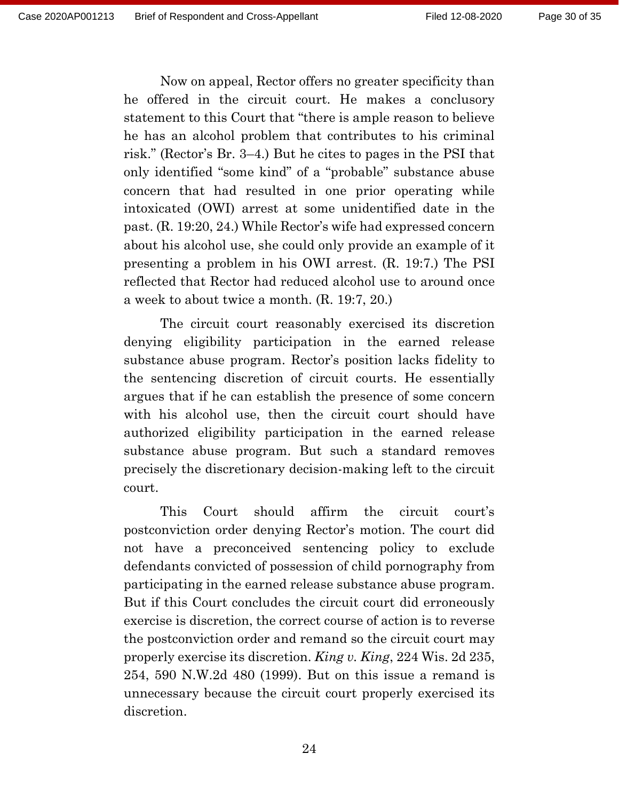Now on appeal, Rector offers no greater specificity than he offered in the circuit court. He makes a conclusory statement to this Court that "there is ample reason to believe he has an alcohol problem that contributes to his criminal risk." (Rector's Br. 3–4.) But he cites to pages in the PSI that only identified "some kind" of a "probable" substance abuse concern that had resulted in one prior operating while intoxicated (OWI) arrest at some unidentified date in the past. (R. 19:20, 24.) While Rector's wife had expressed concern about his alcohol use, she could only provide an example of it presenting a problem in his OWI arrest. (R. 19:7.) The PSI reflected that Rector had reduced alcohol use to around once a week to about twice a month. (R. 19:7, 20.)

The circuit court reasonably exercised its discretion denying eligibility participation in the earned release substance abuse program. Rector's position lacks fidelity to the sentencing discretion of circuit courts. He essentially argues that if he can establish the presence of some concern with his alcohol use, then the circuit court should have authorized eligibility participation in the earned release substance abuse program. But such a standard removes precisely the discretionary decision-making left to the circuit court.

This Court should affirm the circuit court's postconviction order denying Rector's motion. The court did not have a preconceived sentencing policy to exclude defendants convicted of possession of child pornography from participating in the earned release substance abuse program. But if this Court concludes the circuit court did erroneously exercise is discretion, the correct course of action is to reverse the postconviction order and remand so the circuit court may properly exercise its discretion. *King v. King*, 224 Wis. 2d 235, 254, 590 N.W.2d 480 (1999). But on this issue a remand is unnecessary because the circuit court properly exercised its discretion.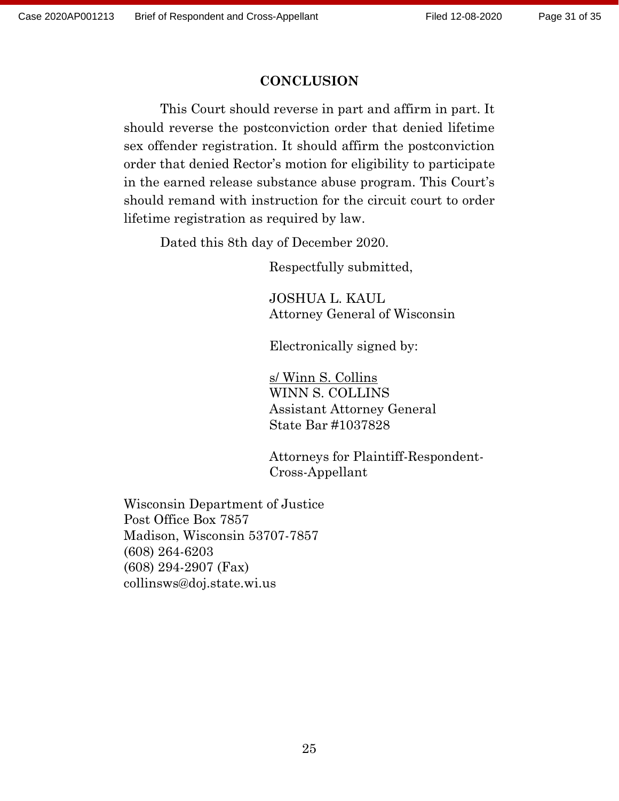## **CONCLUSION**

This Court should reverse in part and affirm in part. It should reverse the postconviction order that denied lifetime sex offender registration. It should affirm the postconviction order that denied Rector's motion for eligibility to participate in the earned release substance abuse program. This Court's should remand with instruction for the circuit court to order lifetime registration as required by law.

Dated this 8th day of December 2020.

Respectfully submitted,

JOSHUA L. KAUL Attorney General of Wisconsin

Electronically signed by:

s/ Winn S. Collins WINN S. COLLINS Assistant Attorney General State Bar #1037828

Attorneys for Plaintiff-Respondent-Cross-Appellant

Wisconsin Department of Justice Post Office Box 7857 Madison, Wisconsin 53707-7857 (608) 264-6203 (608) 294-2907 (Fax) collinsws@doj.state.wi.us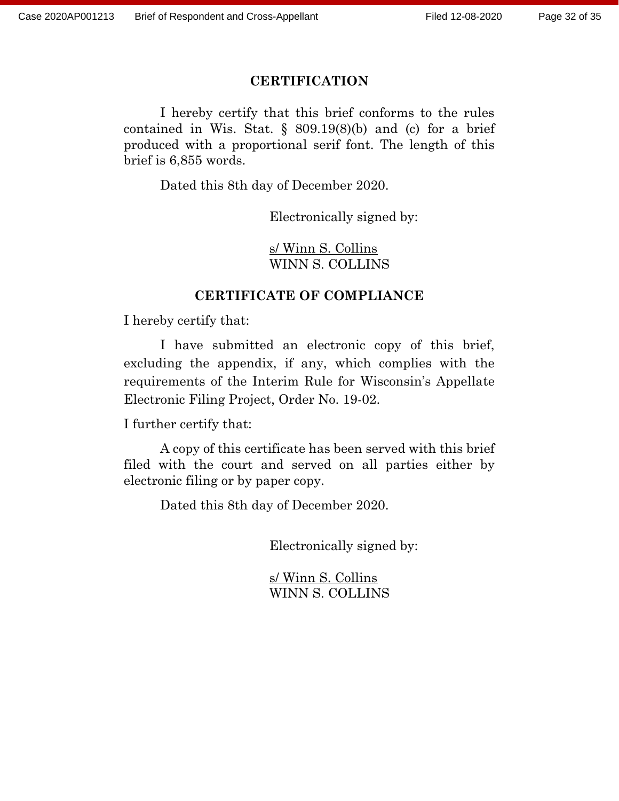## **CERTIFICATION**

I hereby certify that this brief conforms to the rules contained in Wis. Stat.  $\S$  809.19(8)(b) and (c) for a brief produced with a proportional serif font. The length of this brief is 6,855 words.

Dated this 8th day of December 2020.

Electronically signed by:

s/ Winn S. Collins WINN S. COLLINS

## **CERTIFICATE OF COMPLIANCE**

I hereby certify that:

I have submitted an electronic copy of this brief, excluding the appendix, if any, which complies with the requirements of the Interim Rule for Wisconsin's Appellate Electronic Filing Project, Order No. 19-02.

I further certify that:

A copy of this certificate has been served with this brief filed with the court and served on all parties either by electronic filing or by paper copy.

Dated this 8th day of December 2020.

Electronically signed by:

s/ Winn S. Collins WINN S. COLLINS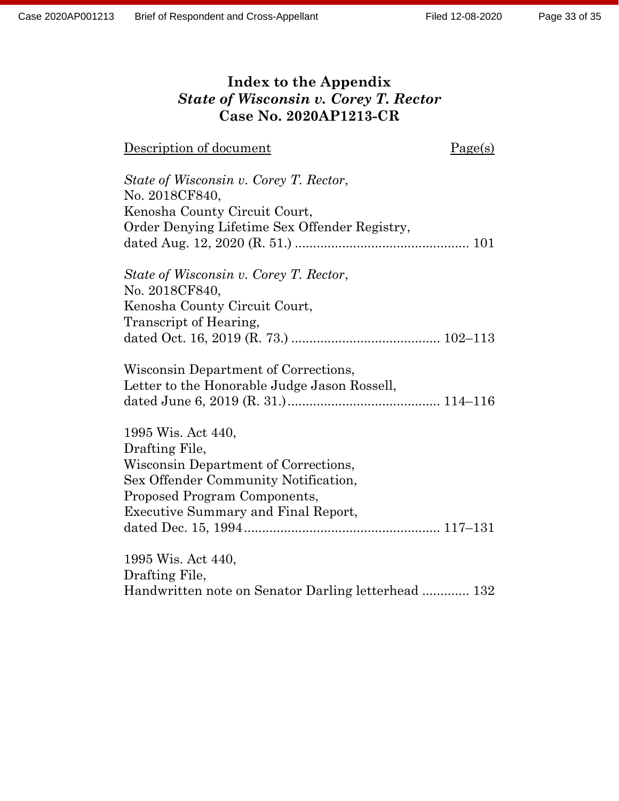## **Index to the Appendix** *State of Wisconsin v. Corey T. Rector* **Case No. 2020AP1213-CR**

| Description of document                            | Page(s) |
|----------------------------------------------------|---------|
|                                                    |         |
| State of Wisconsin v. Corey T. Rector,             |         |
| No. 2018CF840,                                     |         |
| Kenosha County Circuit Court,                      |         |
| Order Denying Lifetime Sex Offender Registry,      |         |
|                                                    |         |
| State of Wisconsin v. Corey T. Rector,             |         |
| No. 2018CF840,                                     |         |
| Kenosha County Circuit Court,                      |         |
| Transcript of Hearing,                             |         |
|                                                    |         |
| Wisconsin Department of Corrections,               |         |
| Letter to the Honorable Judge Jason Rossell,       |         |
|                                                    |         |
| 1995 Wis. Act 440,                                 |         |
| Drafting File,                                     |         |
| Wisconsin Department of Corrections,               |         |
| Sex Offender Community Notification,               |         |
| Proposed Program Components,                       |         |
| <b>Executive Summary and Final Report,</b>         |         |
|                                                    |         |
| 1995 Wis. Act 440,                                 |         |
| Drafting File,                                     |         |
| Handwritten note on Senator Darling letterhead 132 |         |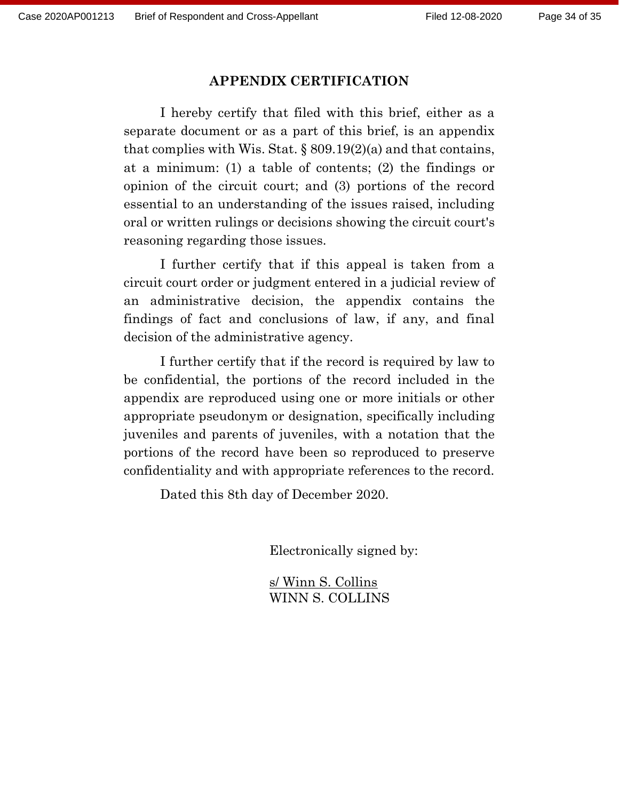#### **APPENDIX CERTIFICATION**

I hereby certify that filed with this brief, either as a separate document or as a part of this brief, is an appendix that complies with Wis. Stat.  $\S 809.19(2)(a)$  and that contains, at a minimum: (1) a table of contents; (2) the findings or opinion of the circuit court; and (3) portions of the record essential to an understanding of the issues raised, including oral or written rulings or decisions showing the circuit court's reasoning regarding those issues.

I further certify that if this appeal is taken from a circuit court order or judgment entered in a judicial review of an administrative decision, the appendix contains the findings of fact and conclusions of law, if any, and final decision of the administrative agency.

I further certify that if the record is required by law to be confidential, the portions of the record included in the appendix are reproduced using one or more initials or other appropriate pseudonym or designation, specifically including juveniles and parents of juveniles, with a notation that the portions of the record have been so reproduced to preserve confidentiality and with appropriate references to the record.

Dated this 8th day of December 2020.

Electronically signed by:

s/ Winn S. Collins WINN S. COLLINS